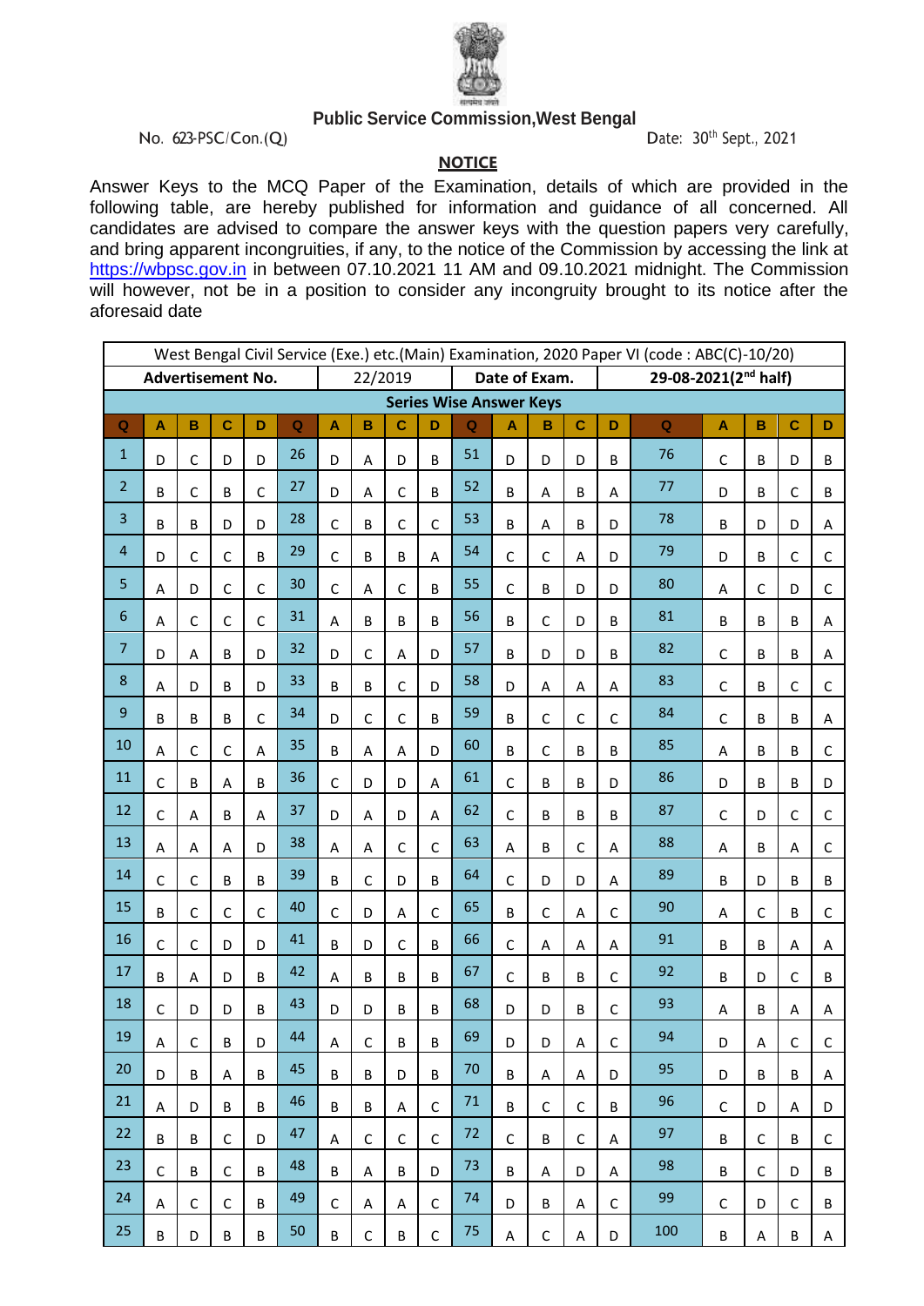

## **Public Service Commission,West Bengal**

No. 623-PSC/Con.(Q) Date: 30<sup>th</sup> Sept., 2021

**NOTICE**

Answer Keys to the MCQ Paper of the Examination, details of which are provided in the following table, are hereby published for information and guidance of all concerned. All candidates are advised to compare the answer keys with the question papers very carefully, and bring apparent incongruities, if any, to the notice of the Commission by accessing the link at [https://wbpsc.gov.in](https://wbpsc.gov.in/) in between 07.10.2021 11 AM and 09.10.2021 midnight. The Commission will however, not be in a position to consider any incongruity brought to its notice after the aforesaid date

|                    | West Bengal Civil Service (Exe.) etc.(Main) Examination, 2020 Paper VI (code: ABC(C)-10/20)<br><b>Advertisement No.</b> |              |             |             |             |                          |              |             |              |                                |              |              |             |                                  |             |              |              |             |             |  |
|--------------------|-------------------------------------------------------------------------------------------------------------------------|--------------|-------------|-------------|-------------|--------------------------|--------------|-------------|--------------|--------------------------------|--------------|--------------|-------------|----------------------------------|-------------|--------------|--------------|-------------|-------------|--|
|                    |                                                                                                                         |              |             |             |             | 22/2019<br>Date of Exam. |              |             |              |                                |              |              |             | 29-08-2021(2 <sup>nd</sup> half) |             |              |              |             |             |  |
|                    |                                                                                                                         |              |             |             |             |                          |              |             |              | <b>Series Wise Answer Keys</b> |              |              |             |                                  |             |              |              |             |             |  |
| $\pmb{\mathsf{Q}}$ | $\mathbf{A}$                                                                                                            | B            | $\mathbf c$ | D           | $\mathbf Q$ | A                        | B            | $\mathbf C$ | D            | $\overline{Q}$                 | A            | B            | $\mathbf c$ | D                                | $\mathbf Q$ | $\mathsf{A}$ | B            | $\mathbf C$ | D           |  |
| $\mathbf{1}$       | D                                                                                                                       | $\mathsf C$  | D           | D           | 26          | D                        | A            | D           | B            | 51                             | D            | D            | D           | B                                | 76          | $\mathsf C$  | B            | D           | B           |  |
| $\overline{2}$     | B                                                                                                                       | $\mathsf C$  | B           | $\mathsf C$ | 27          | D                        | A            | $\mathsf C$ | B            | 52                             | B            | A            | $\sf B$     | A                                | 77          | D            | B            | $\mathsf C$ | B           |  |
| 3                  | B                                                                                                                       | B            | D           | D           | 28          | C                        | B            | $\mathsf C$ | $\mathsf{C}$ | 53                             | B            | A            | B           | D                                | 78          | B            | D            | D           | A           |  |
| 4                  | D                                                                                                                       | $\mathsf{C}$ | $\mathsf C$ | B           | 29          | $\mathsf{C}$             | B            | B           | A            | 54                             | $\mathsf{C}$ | $\mathsf C$  | A           | D                                | 79          | D            | B            | $\mathsf C$ | $\mathsf C$ |  |
| 5                  | A                                                                                                                       | D            | $\mathsf C$ | $\mathsf C$ | 30          | C                        | A            | $\mathsf C$ | B            | 55                             | $\mathsf{C}$ | B            | D           | D                                | 80          | Α            | $\mathsf{C}$ | D           | $\mathsf C$ |  |
| 6                  | A                                                                                                                       | C            | $\mathsf C$ | $\mathsf C$ | 31          | A                        | B            | B           | B            | 56                             | B            | $\mathsf C$  | D           | B                                | 81          | B            | B            | B           | Α           |  |
| $\overline{7}$     | D                                                                                                                       | Α            | B           | D           | 32          | D                        | $\mathsf C$  | A           | D            | 57                             | B            | D            | D           | B                                | 82          | $\mathsf C$  | B            | B           | Α           |  |
| $\bf 8$            | A                                                                                                                       | D            | B           | D           | 33          | B                        | B            | $\mathsf C$ | D            | 58                             | D            | A            | A           | A                                | 83          | $\mathsf C$  | B            | $\mathsf C$ | $\mathsf C$ |  |
| 9                  | B                                                                                                                       | B            | B           | $\mathsf C$ | 34          | D                        | $\mathsf{C}$ | $\mathsf C$ | B            | 59                             | B            | $\mathsf C$  | $\mathsf C$ | $\mathsf C$                      | 84          | $\mathsf C$  | B            | B           | Α           |  |
| 10                 | A                                                                                                                       | C            | $\mathsf C$ | A           | 35          | B                        | A            | A           | D            | 60                             | B            | $\mathsf C$  | B           | B                                | 85          | Α            | B            | B           | $\mathsf C$ |  |
| 11                 | $\mathsf C$                                                                                                             | B            | A           | B           | 36          | C                        | D            | D           | A            | 61                             | $\mathsf{C}$ | B            | B           | D                                | 86          | D            | B            | B           | D           |  |
| 12                 | $\mathsf C$                                                                                                             | A            | B           | A           | 37          | D                        | A            | D           | Α            | 62                             | $\mathsf{C}$ | B            | B           | B                                | 87          | $\mathsf C$  | D            | $\mathsf C$ | $\mathsf C$ |  |
| 13                 | A                                                                                                                       | A            | A           | D           | 38          | A                        | A            | $\mathsf C$ | $\mathsf{C}$ | 63                             | A            | B            | $\mathsf C$ | A                                | 88          | A            | B            | Α           | $\mathsf C$ |  |
| 14                 | $\mathsf C$                                                                                                             | $\mathsf C$  | B           | B           | 39          | B                        | $\mathsf C$  | D           | B            | 64                             | $\mathsf{C}$ | D            | D           | A                                | 89          | B            | D            | B           | B           |  |
| 15                 | B                                                                                                                       | $\mathsf C$  | $\mathsf C$ | $\mathsf C$ | 40          | C                        | D            | A           | $\mathsf{C}$ | 65                             | B            | $\mathsf C$  | A           | $\mathsf C$                      | 90          | Α            | $\mathsf C$  | B           | $\mathsf C$ |  |
| 16                 | $\mathsf C$                                                                                                             | $\mathsf{C}$ | D           | D           | 41          | B                        | D            | $\mathsf C$ | B            | 66                             | $\mathsf C$  | A            | A           | Α                                | 91          | B            | B            | Α           | Α           |  |
| 17                 | B                                                                                                                       | A            | D           | B           | 42          | A                        | B            | $\sf B$     | B            | 67                             | $\mathsf C$  | B            | $\sf B$     | $\mathsf C$                      | 92          | B            | D            | $\mathsf C$ | B           |  |
| 18                 | $\mathsf C$                                                                                                             | D            | D           | B           | 43          | D                        | D            | B           | B            | 68                             | D            | D            | $\sf B$     | $\mathsf C$                      | 93          | Α            | B            | Α           | Α           |  |
| 19                 | A                                                                                                                       | C            | B           | D           | 44          | A                        | С            | B           | В            | 69                             | D            | D            | A           | C                                | 94          | D            | А            | C           | C           |  |
| 20                 | D                                                                                                                       | В            | А           | B           | 45          | B                        | В            | D           | B            | 70                             | B            | A            | A           | D                                | 95          | D            | В            | B           | A           |  |
| 21                 | Α                                                                                                                       | D            | B           | B           | 46          | B                        | B            | Α           | C            | 71                             | B            | C            | $\mathsf C$ | B                                | 96          | C            | D            | Α           | D           |  |
| 22                 | B                                                                                                                       | В            | $\mathsf C$ | D           | 47          | Α                        | C            | $\mathsf C$ | $\mathsf{C}$ | 72                             | $\mathsf{C}$ | B            | $\mathsf C$ | Α                                | 97          | B            | $\mathsf C$  | B           | C           |  |
| 23                 | $\mathsf{C}$                                                                                                            | В            | $\mathsf C$ | B           | 48          | B                        | Α            | B           | D            | 73                             | B            | Α            | D           | Α                                | 98          | B            | $\mathsf C$  | D           | В           |  |
| 24                 | Α                                                                                                                       | C            | $\mathsf C$ | B           | 49          | C                        | А            | Α           | $\mathsf C$  | 74                             | D            | B            | A           | С                                | 99          | С            | D            | C           | B           |  |
| 25                 | B                                                                                                                       | D            | B           | B           | 50          | B                        | $\mathsf C$  | B           | $\mathsf C$  | 75                             | А            | $\mathsf{C}$ | A           | D                                | 100         | B            | Α            | B           | А           |  |